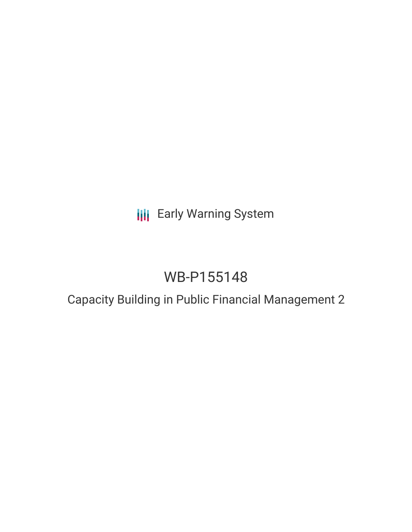# **III** Early Warning System

# WB-P155148

## Capacity Building in Public Financial Management 2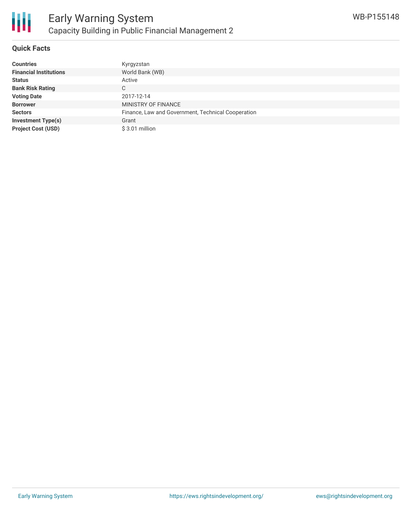

#### **Quick Facts**

| <b>Countries</b>              | Kyrgyzstan                                         |
|-------------------------------|----------------------------------------------------|
| <b>Financial Institutions</b> | World Bank (WB)                                    |
| <b>Status</b>                 | Active                                             |
| <b>Bank Risk Rating</b>       | С                                                  |
| <b>Voting Date</b>            | 2017-12-14                                         |
| <b>Borrower</b>               | MINISTRY OF FINANCE                                |
| <b>Sectors</b>                | Finance, Law and Government, Technical Cooperation |
| <b>Investment Type(s)</b>     | Grant                                              |
| <b>Project Cost (USD)</b>     | $$3.01$ million                                    |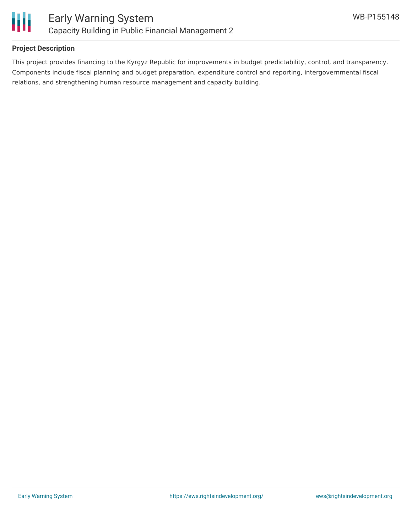

#### **Project Description**

This project provides financing to the Kyrgyz Republic for improvements in budget predictability, control, and transparency. Components include fiscal planning and budget preparation, expenditure control and reporting, intergovernmental fiscal relations, and strengthening human resource management and capacity building.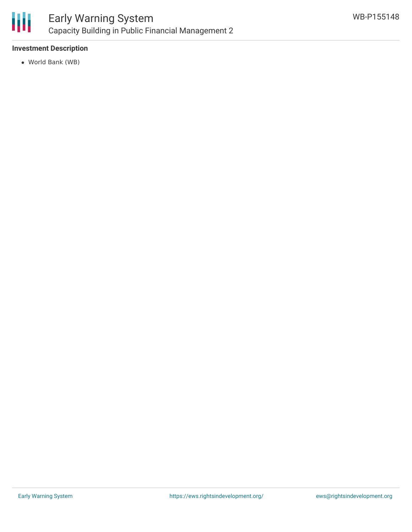

#### **Investment Description**

World Bank (WB)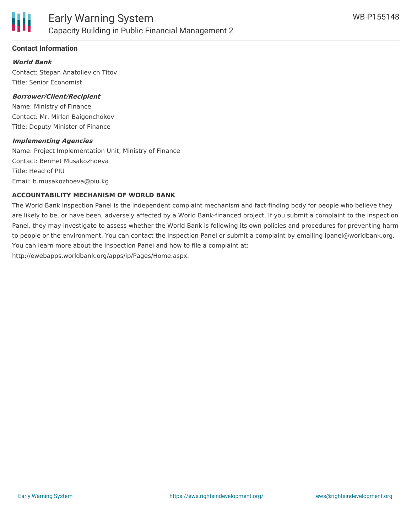

#### **Contact Information**

#### **World Bank**

Contact: Stepan Anatolievich Titov Title: Senior Economist

#### **Borrower/Client/Recipient**

Name: Ministry of Finance Contact: Mr. Mirlan Baigonchokov Title: Deputy Minister of Finance

#### **Implementing Agencies**

Name: Project Implementation Unit, Ministry of Finance Contact: Bermet Musakozhoeva Title: Head of PIU Email: b.musakozhoeva@piu.kg

#### **ACCOUNTABILITY MECHANISM OF WORLD BANK**

The World Bank Inspection Panel is the independent complaint mechanism and fact-finding body for people who believe they are likely to be, or have been, adversely affected by a World Bank-financed project. If you submit a complaint to the Inspection Panel, they may investigate to assess whether the World Bank is following its own policies and procedures for preventing harm to people or the environment. You can contact the Inspection Panel or submit a complaint by emailing ipanel@worldbank.org. You can learn more about the Inspection Panel and how to file a complaint at: http://ewebapps.worldbank.org/apps/ip/Pages/Home.aspx.